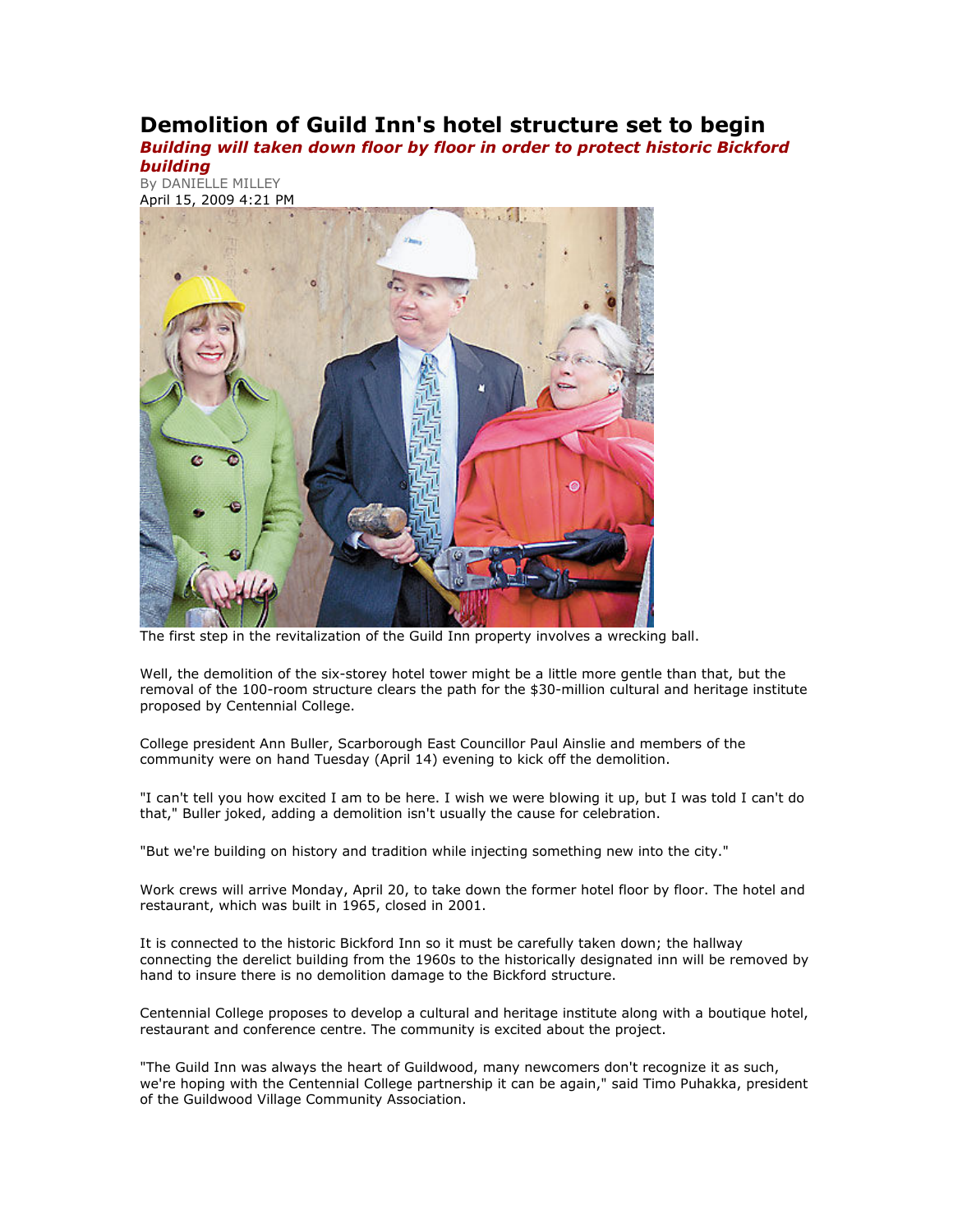## Demolition of Guild Inn's hotel structure set to begin

Building will taken down floor by floor in order to protect historic Bickford building

By DANIELLE MILLEY April 15, 2009 4:21 PM



The first step in the revitalization of the Guild Inn property involves a wrecking ball.

Well, the demolition of the six-storey hotel tower might be a little more gentle than that, but the removal of the 100-room structure clears the path for the \$30-million cultural and heritage institute proposed by Centennial College.

College president Ann Buller, Scarborough East Councillor Paul Ainslie and members of the community were on hand Tuesday (April 14) evening to kick off the demolition.

"I can't tell you how excited I am to be here. I wish we were blowing it up, but I was told I can't do that," Buller joked, adding a demolition isn't usually the cause for celebration.

"But we're building on history and tradition while injecting something new into the city."

Work crews will arrive Monday, April 20, to take down the former hotel floor by floor. The hotel and restaurant, which was built in 1965, closed in 2001.

It is connected to the historic Bickford Inn so it must be carefully taken down; the hallway connecting the derelict building from the 1960s to the historically designated inn will be removed by hand to insure there is no demolition damage to the Bickford structure.

Centennial College proposes to develop a cultural and heritage institute along with a boutique hotel, restaurant and conference centre. The community is excited about the project.

"The Guild Inn was always the heart of Guildwood, many newcomers don't recognize it as such, we're hoping with the Centennial College partnership it can be again," said Timo Puhakka, president of the Guildwood Village Community Association.